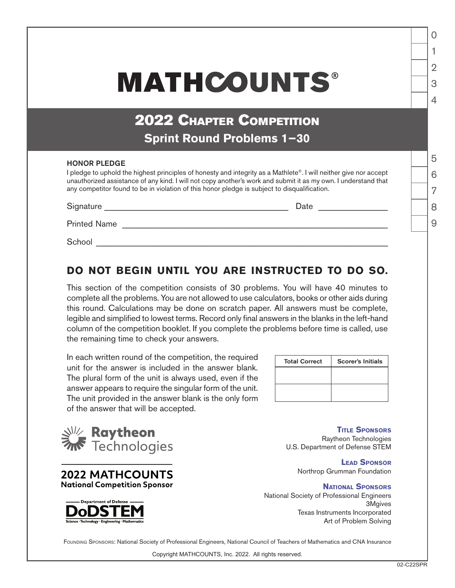## **MATHCOUNTS®**

2022 Chapter Competition **Sprint Round Problems 1−30**

## HONOR PLEDGE

I pledge to uphold the highest principles of honesty and integrity as a Mathlete®. I will neither give nor accept unauthorized assistance of any kind. I will not copy another's work and submit it as my own. I understand that any competitor found to be in violation of this honor pledge is subject to disqualification.

| Signature           | Date |
|---------------------|------|
| <b>Printed Name</b> |      |
| School              |      |

## **DO NOT BEGIN UNTIL YOU ARE INSTRUCTED TO DO SO.**

This section of the competition consists of 30 problems. You will have 40 minutes to complete all the problems. You are not allowed to use calculators, books or other aids during this round. Calculations may be done on scratch paper. All answers must be complete, legible and simplified to lowest terms. Record only final answers in the blanks in the left-hand column of the competition booklet. If you complete the problems before time is called, use the remaining time to check your answers.

In each written round of the competition, the required unit for the answer is included in the answer blank. The plural form of the unit is always used, even if the answer appears to require the singular form of the unit. The unit provided in the answer blank is the only form of the answer that will be accepted.

| <b>Total Correct</b> | <b>Scorer's Initials</b> |
|----------------------|--------------------------|
|                      |                          |
|                      |                          |
|                      |                          |



**2022 MATHCOUNTS National Competition Sponsor** 



**Title Sponsors** Raytheon Technologies U.S. Department of Defense STEM

> **Lead Sponsor** Northrop Grumman Foundation

**National Sponsors** National Society of Professional Engineers 3Mgives Texas Instruments Incorporated Art of Problem Solving

FOUNDING SPONSORS: National Society of Professional Engineers, National Council of Teachers of Mathematics and CNA Insurance

Copyright MATHCOUNTS, Inc. 2022. All rights reserved.

1

 $\Omega$ 

2

3

 $\Delta$ 

5

6

7

8

 $\overline{9}$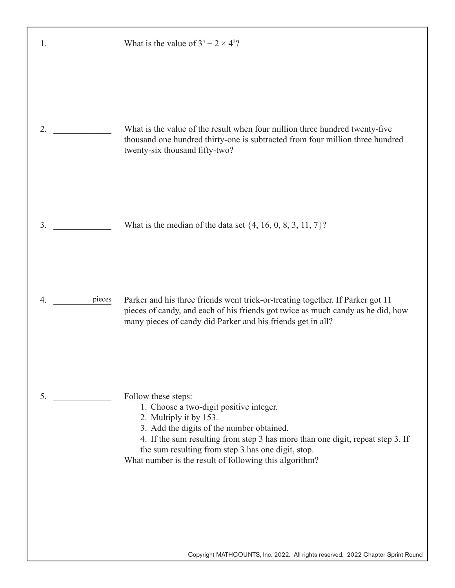| 1.           | What is the value of $3^4$ – 2 $\times$ 4 <sup>2</sup> ?                                                                                                                                                                                                                                                                                |
|--------------|-----------------------------------------------------------------------------------------------------------------------------------------------------------------------------------------------------------------------------------------------------------------------------------------------------------------------------------------|
| 2.           | What is the value of the result when four million three hundred twenty-five<br>thousand one hundred thirty-one is subtracted from four million three hundred<br>twenty-six thousand fifty-two?                                                                                                                                          |
| 3.           | What is the median of the data set $\{4, 16, 0, 8, 3, 11, 7\}$ ?                                                                                                                                                                                                                                                                        |
| 4.<br>pieces | Parker and his three friends went trick-or-treating together. If Parker got 11<br>pieces of candy, and each of his friends got twice as much candy as he did, how<br>many pieces of candy did Parker and his friends get in all?                                                                                                        |
| 5.           | Follow these steps:<br>1. Choose a two-digit positive integer.<br>2. Multiply it by 153.<br>3. Add the digits of the number obtained.<br>4. If the sum resulting from step 3 has more than one digit, repeat step 3. If<br>the sum resulting from step 3 has one digit, stop.<br>What number is the result of following this algorithm? |

Copyright MATHCOUNTS, Inc. 2022. All rights reserved. 2022 Chapter Sprint Round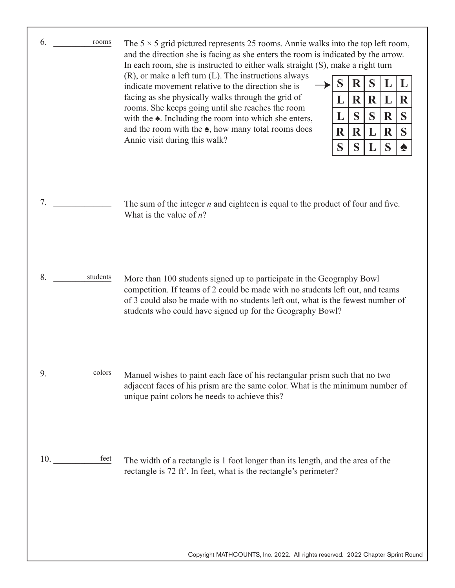|                | In each room, she is instructed to either walk straight (S), make a right turn<br>$(R)$ , or make a left turn $(L)$ . The instructions always<br>indicate movement relative to the direction she is<br>facing as she physically walks through the grid of<br>rooms. She keeps going until she reaches the room<br>with the $\triangle$ . Including the room into which she enters,<br>and the room with the $\spadesuit$ , how many total rooms does | S       | $\bf R$     | S           |                  |                  |
|----------------|------------------------------------------------------------------------------------------------------------------------------------------------------------------------------------------------------------------------------------------------------------------------------------------------------------------------------------------------------------------------------------------------------------------------------------------------------|---------|-------------|-------------|------------------|------------------|
|                |                                                                                                                                                                                                                                                                                                                                                                                                                                                      | L       | $\mathbf R$ | $\mathbf R$ | L<br>$\mathbf L$ | L<br>$\mathbf R$ |
|                |                                                                                                                                                                                                                                                                                                                                                                                                                                                      | L       | S           | S           | R                | S                |
|                |                                                                                                                                                                                                                                                                                                                                                                                                                                                      | $\bf R$ | $\mathbf R$ | L           | R                | S                |
|                | Annie visit during this walk?                                                                                                                                                                                                                                                                                                                                                                                                                        | S       | S           |             | S                |                  |
| 7.             | The sum of the integer $n$ and eighteen is equal to the product of four and five.<br>What is the value of $n$ ?                                                                                                                                                                                                                                                                                                                                      |         |             |             |                  |                  |
| 8.<br>students | More than 100 students signed up to participate in the Geography Bowl<br>competition. If teams of 2 could be made with no students left out, and teams<br>of 3 could also be made with no students left out, what is the fewest number of<br>students who could have signed up for the Geography Bowl?                                                                                                                                               |         |             |             |                  |                  |
| colors<br>9.   | Manuel wishes to paint each face of his rectangular prism such that no two<br>adjacent faces of his prism are the same color. What is the minimum number of<br>unique paint colors he needs to achieve this?                                                                                                                                                                                                                                         |         |             |             |                  |                  |
|                |                                                                                                                                                                                                                                                                                                                                                                                                                                                      |         |             |             |                  |                  |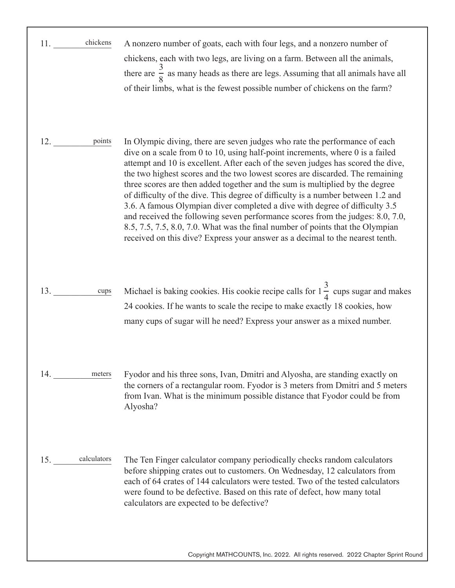| chickens<br>11.    | A nonzero number of goats, each with four legs, and a nonzero number of<br>chickens, each with two legs, are living on a farm. Between all the animals,<br>there are $\frac{3}{8}$ as many heads as there are legs. Assuming that all animals have all<br>of their limbs, what is the fewest possible number of chickens on the farm?                                                                                                                                                                                                                                                                                                                                                                                                                                                                                                            |
|--------------------|--------------------------------------------------------------------------------------------------------------------------------------------------------------------------------------------------------------------------------------------------------------------------------------------------------------------------------------------------------------------------------------------------------------------------------------------------------------------------------------------------------------------------------------------------------------------------------------------------------------------------------------------------------------------------------------------------------------------------------------------------------------------------------------------------------------------------------------------------|
| points<br>12.      | In Olympic diving, there are seven judges who rate the performance of each<br>dive on a scale from $0$ to $10$ , using half-point increments, where $0$ is a failed<br>attempt and 10 is excellent. After each of the seven judges has scored the dive,<br>the two highest scores and the two lowest scores are discarded. The remaining<br>three scores are then added together and the sum is multiplied by the degree<br>of difficulty of the dive. This degree of difficulty is a number between 1.2 and<br>3.6. A famous Olympian diver completed a dive with degree of difficulty 3.5<br>and received the following seven performance scores from the judges: 8.0, 7.0,<br>8.5, 7.5, 7.5, 8.0, 7.0. What was the final number of points that the Olympian<br>received on this dive? Express your answer as a decimal to the nearest tenth. |
| 13.<br>cups        | Michael is baking cookies. His cookie recipe calls for $1\frac{3}{4}$ cups sugar and makes<br>24 cookies. If he wants to scale the recipe to make exactly 18 cookies, how<br>many cups of sugar will he need? Express your answer as a mixed number.                                                                                                                                                                                                                                                                                                                                                                                                                                                                                                                                                                                             |
| meters<br>14.      | Fyodor and his three sons, Ivan, Dmitri and Alyosha, are standing exactly on<br>the corners of a rectangular room. Fyodor is 3 meters from Dmitri and 5 meters<br>from Ivan. What is the minimum possible distance that Fyodor could be from<br>Alyosha?                                                                                                                                                                                                                                                                                                                                                                                                                                                                                                                                                                                         |
| calculators<br>15. | The Ten Finger calculator company periodically checks random calculators<br>before shipping crates out to customers. On Wednesday, 12 calculators from<br>each of 64 crates of 144 calculators were tested. Two of the tested calculators<br>were found to be defective. Based on this rate of defect, how many total<br>calculators are expected to be defective?                                                                                                                                                                                                                                                                                                                                                                                                                                                                               |

Copyright MATHCOUNTS, Inc. 2022. All rights reserved. 2022 Chapter Sprint Round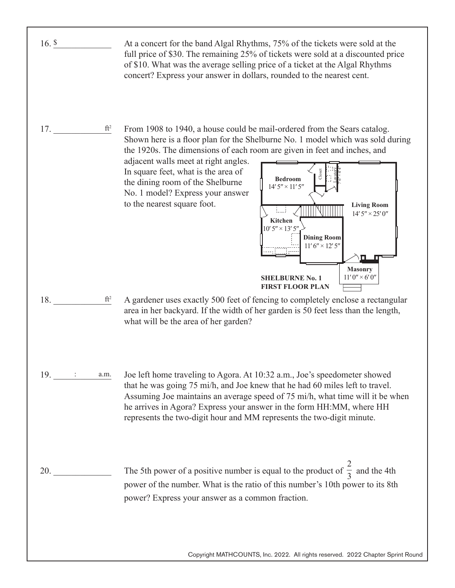$16.$   $\frac{\$}{\$}$ At a concert for the band Algal Rhythms, 75% of the tickets were sold at the full price of \$30. The remaining 25% of tickets were sold at a discounted price of \$10. What was the average selling price of a ticket at the Algal Rhythms concert? Express your answer in dollars, rounded to the nearest cent.  $\mathrm{ft}^2$ From 1908 to 1940, a house could be mail-ordered from the Sears catalog. 17. \_\_\_\_\_\_\_\_\_\_\_\_\_ Shown here is a floor plan for the Shelburne No. 1 model which was sold during the 1920s. The dimensions of each room are given in feet and inches, and adjacent walls meet at right angles. 7′ 6″ × 4′ 4″ In square feet, what is the area of Lavatory Closet **Bedroom** the dining room of the Shelburne  $14'5'' \times 11'5''$ No. 1 model? Express your answer to the nearest square foot. **Living Room** illi  $14'5'' \times 25'0''$ **Kitchen**  $10'5'' \times 13'5''$ **Dining Room**  $11' 6'' \times 12' 5''$ **ERROR Masonry**  $11'0'' \times 6'0''$ **SHELBURNE No. 1 FIRST FLOOR PLAN**  $ft<sup>2</sup>$ A gardener uses exactly 500 feet of fencing to completely enclose a rectangular 18. \_\_\_\_\_\_\_\_\_\_\_\_\_ area in her backyard. If the width of her garden is 50 feet less than the length, what will be the area of her garden?  $19.$   $\vdots$ a.m. Joe left home traveling to Agora. At 10:32 a.m., Joe's speedometer showed that he was going 75 mi/h, and Joe knew that he had 60 miles left to travel. Assuming Joe maintains an average speed of 75 mi/h, what time will it be when he arrives in Agora? Express your answer in the form HH:MM, where HH represents the two-digit hour and MM represents the two-digit minute. 2 20. \_\_\_\_\_\_\_\_\_\_\_\_\_ The 5th power of a positive number is equal to the product of  $\frac{1}{3}$  and the 4th power of the number. What is the ratio of this number's 10th power to its 8th power? Express your answer as a common fraction.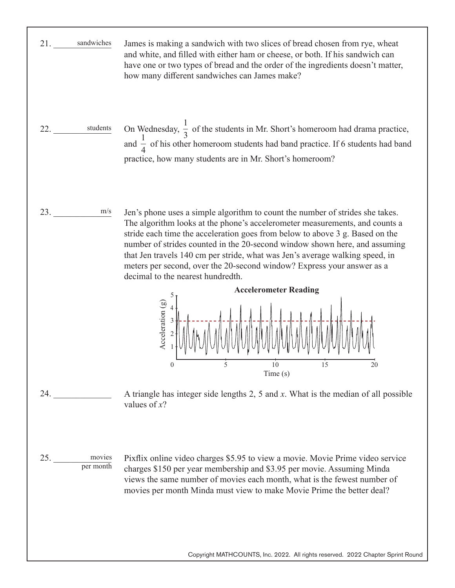

Copyright MATHCOUNTS, Inc. 2022. All rights reserved. 2022 Chapter Sprint Round